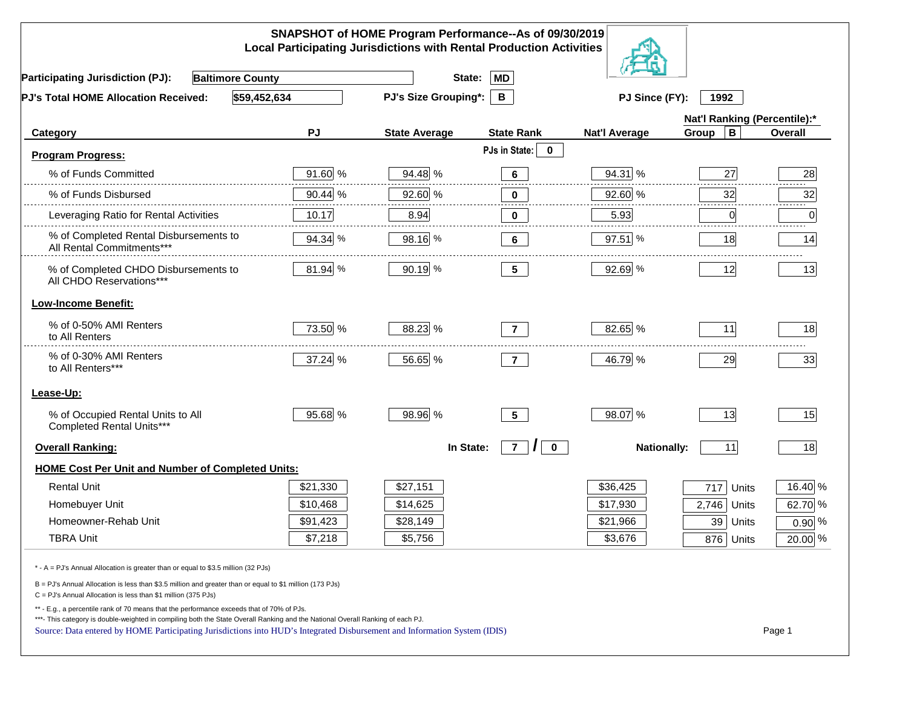|                                                                                                                                                                                                                                                                                                                                                          |           | SNAPSHOT of HOME Program Performance--As of 09/30/2019<br><b>Local Participating Jurisdictions with Rental Production Activities</b> |                                        |                      |                              |           |
|----------------------------------------------------------------------------------------------------------------------------------------------------------------------------------------------------------------------------------------------------------------------------------------------------------------------------------------------------------|-----------|--------------------------------------------------------------------------------------------------------------------------------------|----------------------------------------|----------------------|------------------------------|-----------|
| <b>Baltimore County</b><br><b>Participating Jurisdiction (PJ):</b>                                                                                                                                                                                                                                                                                       |           | State:                                                                                                                               | <b>MD</b>                              |                      |                              |           |
| \$59,452,634<br>PJ's Total HOME Allocation Received:                                                                                                                                                                                                                                                                                                     |           | <b>PJ's Size Grouping*:</b>                                                                                                          | B                                      | PJ Since (FY):       | 1992                         |           |
|                                                                                                                                                                                                                                                                                                                                                          |           |                                                                                                                                      |                                        |                      | Nat'l Ranking (Percentile):* |           |
| Category                                                                                                                                                                                                                                                                                                                                                 | <b>PJ</b> | <b>State Average</b>                                                                                                                 | <b>State Rank</b>                      | <b>Nat'l Average</b> | $\mathbf B$<br>Group         | Overall   |
| <b>Program Progress:</b>                                                                                                                                                                                                                                                                                                                                 |           |                                                                                                                                      | PJs in State:<br>$\mathbf 0$           |                      |                              |           |
| % of Funds Committed                                                                                                                                                                                                                                                                                                                                     | 91.60 %   | 94.48 %                                                                                                                              | 6                                      | 94.31 %              | 27                           | 28        |
| % of Funds Disbursed                                                                                                                                                                                                                                                                                                                                     | 90.44 %   | 92.60 %                                                                                                                              | $\bf{0}$                               | 92.60 %              | 32                           | 32        |
| Leveraging Ratio for Rental Activities                                                                                                                                                                                                                                                                                                                   | 10.17     | 8.94                                                                                                                                 | $\bf{0}$                               | 5.93                 | 0                            | 0         |
| % of Completed Rental Disbursements to<br>All Rental Commitments***                                                                                                                                                                                                                                                                                      | 94.34 %   | 98.16 %                                                                                                                              | 6                                      | 97.51 %              | 18                           | 14        |
| % of Completed CHDO Disbursements to<br>All CHDO Reservations***                                                                                                                                                                                                                                                                                         | 81.94 %   | 90.19 %                                                                                                                              | 5 <sub>5</sub>                         | 92.69 %              | 12                           | 13        |
| <b>Low-Income Benefit:</b>                                                                                                                                                                                                                                                                                                                               |           |                                                                                                                                      |                                        |                      |                              |           |
| % of 0-50% AMI Renters<br>to All Renters                                                                                                                                                                                                                                                                                                                 | 73.50 %   | 88.23 %                                                                                                                              | $\overline{7}$                         | 82.65 %              | 11                           | 18        |
| % of 0-30% AMI Renters<br>to All Renters***                                                                                                                                                                                                                                                                                                              | 37.24 %   | 56.65 %                                                                                                                              | $\overline{7}$                         | 46.79 %              | 29                           | 33        |
| Lease-Up:                                                                                                                                                                                                                                                                                                                                                |           |                                                                                                                                      |                                        |                      |                              |           |
| % of Occupied Rental Units to All<br>Completed Rental Units***                                                                                                                                                                                                                                                                                           | 95.68 %   | 98.96 %                                                                                                                              | 5 <sup>5</sup>                         | 98.07 %              | 13                           | 15        |
| <b>Overall Ranking:</b>                                                                                                                                                                                                                                                                                                                                  |           | In State:                                                                                                                            | $\overline{7}$<br>$\bf{0}$<br>$\prime$ | <b>Nationally:</b>   | 11                           | 18        |
| <b>HOME Cost Per Unit and Number of Completed Units:</b>                                                                                                                                                                                                                                                                                                 |           |                                                                                                                                      |                                        |                      |                              |           |
| <b>Rental Unit</b>                                                                                                                                                                                                                                                                                                                                       | \$21,330  | \$27,151                                                                                                                             |                                        | \$36,425             | 717<br>Units                 | 16.40 %   |
| Homebuyer Unit                                                                                                                                                                                                                                                                                                                                           | \$10,468  | \$14,625                                                                                                                             |                                        | \$17,930             | 2,746<br>Units               | 62.70 %   |
| Homeowner-Rehab Unit                                                                                                                                                                                                                                                                                                                                     | \$91,423  | \$28,149                                                                                                                             |                                        | \$21,966             | 39 Units                     | $0.90\%$  |
| <b>TBRA Unit</b>                                                                                                                                                                                                                                                                                                                                         | \$7,218   | \$5,756                                                                                                                              |                                        | \$3,676              | 876 Units                    | $20.00\%$ |
| * - A = PJ's Annual Allocation is greater than or equal to \$3.5 million (32 PJs)                                                                                                                                                                                                                                                                        |           |                                                                                                                                      |                                        |                      |                              |           |
| B = PJ's Annual Allocation is less than \$3.5 million and greater than or equal to \$1 million (173 PJs)<br>$C = PJ's$ Annual Allocation is less than \$1 million (375 PJs)                                                                                                                                                                              |           |                                                                                                                                      |                                        |                      |                              |           |
| ** - E.g., a percentile rank of 70 means that the performance exceeds that of 70% of PJs.<br>***- This category is double-weighted in compiling both the State Overall Ranking and the National Overall Ranking of each PJ.<br>Source: Data entered by HOME Participating Jurisdictions into HUD's Integrated Disbursement and Information System (IDIS) |           |                                                                                                                                      |                                        |                      |                              | Page 1    |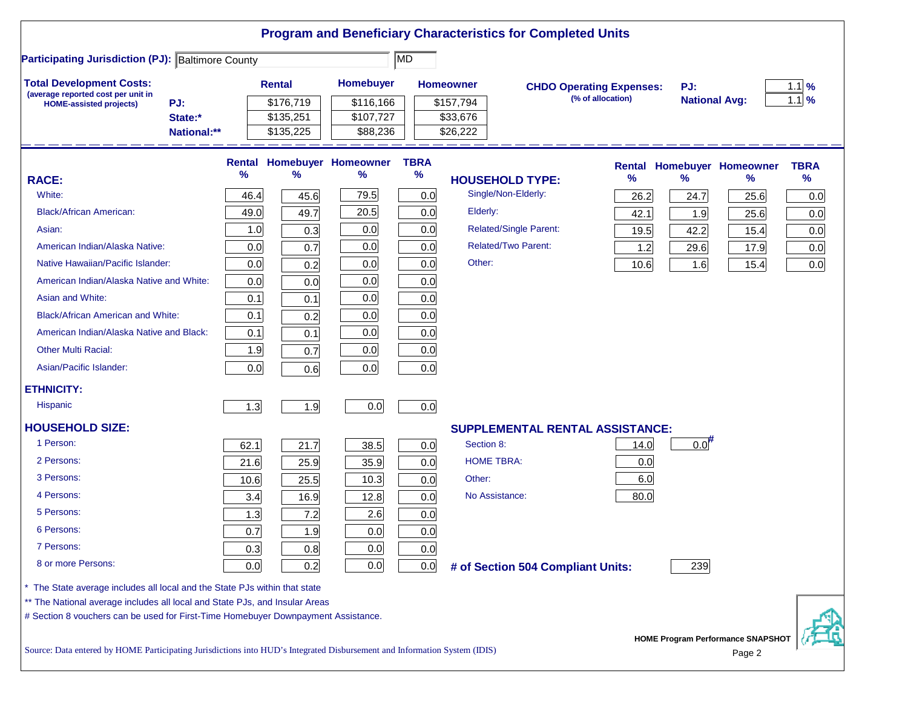|                                                                                                                                                                  |      |                        |                                 |                     | <b>Program and Beneficiary Characteristics for Completed Units</b> |                                 |      |                      |                                          |             |
|------------------------------------------------------------------------------------------------------------------------------------------------------------------|------|------------------------|---------------------------------|---------------------|--------------------------------------------------------------------|---------------------------------|------|----------------------|------------------------------------------|-------------|
| <b>Participating Jurisdiction (PJ): Baltimore County</b>                                                                                                         |      |                        |                                 | MD <sup>1</sup>     |                                                                    |                                 |      |                      |                                          |             |
| <b>Total Development Costs:</b><br>(average reported cost per unit in                                                                                            |      | <b>Rental</b>          | Homebuyer                       |                     | <b>Homeowner</b>                                                   | <b>CHDO Operating Expenses:</b> |      | PJ:                  |                                          | $1.1$ %     |
| PJ:<br><b>HOME-assisted projects)</b>                                                                                                                            |      | \$176,719              | \$116,166                       |                     | \$157,794                                                          | (% of allocation)               |      | <b>National Avg:</b> |                                          | $1.1$ %     |
| State:*<br>National:**                                                                                                                                           |      | \$135,251<br>\$135,225 | \$107,727<br>\$88,236           |                     | \$33,676<br>\$26,222                                               |                                 |      |                      |                                          |             |
|                                                                                                                                                                  |      |                        |                                 |                     |                                                                    |                                 |      |                      |                                          |             |
|                                                                                                                                                                  | %    | %                      | Rental Homebuyer Homeowner<br>% | <b>TBRA</b><br>$\%$ |                                                                    |                                 |      |                      | <b>Rental Homebuyer Homeowner</b>        | <b>TBRA</b> |
| <b>RACE:</b>                                                                                                                                                     |      |                        |                                 |                     | <b>HOUSEHOLD TYPE:</b>                                             |                                 | %    | $\frac{9}{6}$        | %                                        | $\%$        |
| White:                                                                                                                                                           | 46.4 | 45.6                   | 79.5                            | 0.0                 | Single/Non-Elderly:                                                |                                 | 26.2 | 24.7                 | 25.6                                     | 0.0         |
| <b>Black/African American:</b>                                                                                                                                   | 49.0 | 49.7                   | 20.5                            | 0.0                 | Elderly:                                                           |                                 | 42.1 | 1.9                  | 25.6                                     | 0.0         |
| Asian:                                                                                                                                                           | 1.0  | 0.3                    | 0.0                             | 0.0                 | <b>Related/Single Parent:</b>                                      |                                 | 19.5 | 42.2                 | 15.4                                     | 0.0         |
| American Indian/Alaska Native:                                                                                                                                   | 0.0  | 0.7                    | 0.0                             | 0.0                 | <b>Related/Two Parent:</b>                                         |                                 | 1.2  | 29.6                 | 17.9                                     | 0.0         |
| Native Hawaiian/Pacific Islander:                                                                                                                                | 0.0  | 0.2                    | 0.0                             | 0.0                 | Other:                                                             |                                 | 10.6 | 1.6                  | 15.4                                     | 0.0         |
| American Indian/Alaska Native and White:                                                                                                                         | 0.0  | 0.0                    | 0.0                             | 0.0                 |                                                                    |                                 |      |                      |                                          |             |
| Asian and White:                                                                                                                                                 | 0.1  | 0.1                    | 0.0                             | 0.0                 |                                                                    |                                 |      |                      |                                          |             |
| <b>Black/African American and White:</b>                                                                                                                         | 0.1  | 0.2                    | 0.0                             | 0.0                 |                                                                    |                                 |      |                      |                                          |             |
| American Indian/Alaska Native and Black:                                                                                                                         | 0.1  | 0.1                    | 0.0                             | 0.0                 |                                                                    |                                 |      |                      |                                          |             |
| <b>Other Multi Racial:</b>                                                                                                                                       | 1.9  | 0.7                    | 0.0                             | 0.0                 |                                                                    |                                 |      |                      |                                          |             |
| Asian/Pacific Islander:                                                                                                                                          | 0.0  | 0.6                    | 0.0                             | 0.0                 |                                                                    |                                 |      |                      |                                          |             |
| <b>ETHNICITY:</b>                                                                                                                                                |      |                        |                                 |                     |                                                                    |                                 |      |                      |                                          |             |
| <b>Hispanic</b>                                                                                                                                                  | 1.3  | 1.9                    | 0.0                             | 0.0                 |                                                                    |                                 |      |                      |                                          |             |
| <b>HOUSEHOLD SIZE:</b>                                                                                                                                           |      |                        |                                 |                     | <b>SUPPLEMENTAL RENTAL ASSISTANCE:</b>                             |                                 |      |                      |                                          |             |
| 1 Person:                                                                                                                                                        | 62.1 | 21.7                   | 38.5                            | 0.0                 | Section 8:                                                         |                                 | 14.0 | $0.0$ <sup>#</sup>   |                                          |             |
| 2 Persons:                                                                                                                                                       | 21.6 | 25.9                   | 35.9                            | 0.0                 | <b>HOME TBRA:</b>                                                  |                                 | 0.0  |                      |                                          |             |
| 3 Persons:                                                                                                                                                       | 10.6 | 25.5                   | 10.3                            | 0.0                 | Other:                                                             |                                 | 6.0  |                      |                                          |             |
| 4 Persons:                                                                                                                                                       | 3.4  | 16.9                   | 12.8                            | 0.0                 | No Assistance:                                                     |                                 | 80.0 |                      |                                          |             |
| 5 Persons:                                                                                                                                                       | 1.3  | 7.2                    | 2.6                             | 0.0                 |                                                                    |                                 |      |                      |                                          |             |
| 6 Persons:                                                                                                                                                       | 0.7  | 1.9                    | 0.0                             | 0.0                 |                                                                    |                                 |      |                      |                                          |             |
| 7 Persons:                                                                                                                                                       | 0.3  | 0.8                    | 0.0                             | 0.0                 |                                                                    |                                 |      |                      |                                          |             |
| 8 or more Persons:                                                                                                                                               | 0.0  |                        | 0.0                             |                     |                                                                    |                                 |      |                      |                                          |             |
|                                                                                                                                                                  |      | 0.2                    |                                 | 0.0                 | # of Section 504 Compliant Units:                                  |                                 |      | 239                  |                                          |             |
| The State average includes all local and the State PJs within that state                                                                                         |      |                        |                                 |                     |                                                                    |                                 |      |                      |                                          |             |
| ** The National average includes all local and State PJs, and Insular Areas<br># Section 8 vouchers can be used for First-Time Homebuyer Downpayment Assistance. |      |                        |                                 |                     |                                                                    |                                 |      |                      |                                          |             |
|                                                                                                                                                                  |      |                        |                                 |                     |                                                                    |                                 |      |                      | <b>HOME Program Performance SNAPSHOT</b> |             |
| Source: Data entered by HOME Participating Jurisdictions into HUD's Integrated Disbursement and Information System (IDIS)                                        |      |                        |                                 |                     |                                                                    |                                 |      |                      | Page 2                                   |             |